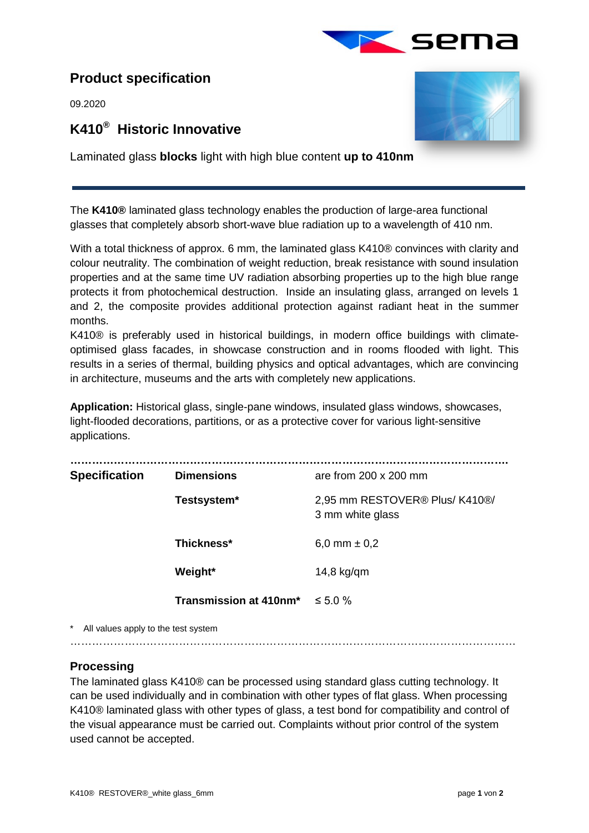

# **Product specification**

09.2020

# **K410® Historic Innovative**



Laminated glass **blocks** light with high blue content **up to 410nm**

The **K410®** laminated glass technology enables the production of large-area functional glasses that completely absorb short-wave blue radiation up to a wavelength of 410 nm.

 $\overline{a}$ 

With a total thickness of approx. 6 mm, the laminated glass K410<sup>®</sup> convinces with clarity and colour neutrality. The combination of weight reduction, break resistance with sound insulation properties and at the same time UV radiation absorbing properties up to the high blue range protects it from photochemical destruction. Inside an insulating glass, arranged on levels 1 and 2, the composite provides additional protection against radiant heat in the summer months.

K410® is preferably used in historical buildings, in modern office buildings with climateoptimised glass facades, in showcase construction and in rooms flooded with light. This results in a series of thermal, building physics and optical advantages, which are convincing in architecture, museums and the arts with completely new applications.

**Application:** Historical glass, single-pane windows, insulated glass windows, showcases, light-flooded decorations, partitions, or as a protective cover for various light-sensitive applications.

| <b>Specification</b> | <b>Dimensions</b>      | are from $200 \times 200$ mm                       |
|----------------------|------------------------|----------------------------------------------------|
|                      | Testsystem*            | 2,95 mm RESTOVER® Plus/ K410®/<br>3 mm white glass |
|                      | Thickness*             | 6,0 mm $\pm$ 0,2                                   |
|                      | Weight*                | $14,8$ kg/qm                                       |
|                      | Transmission at 410nm* | $\leq 5.0 \%$                                      |
|                      |                        |                                                    |

All values apply to the test system

……………………………………………………………………………………………………………

## **Processing**

The laminated glass K410® can be processed using standard glass cutting technology. It can be used individually and in combination with other types of flat glass. When processing K410® laminated glass with other types of glass, a test bond for compatibility and control of the visual appearance must be carried out. Complaints without prior control of the system used cannot be accepted.